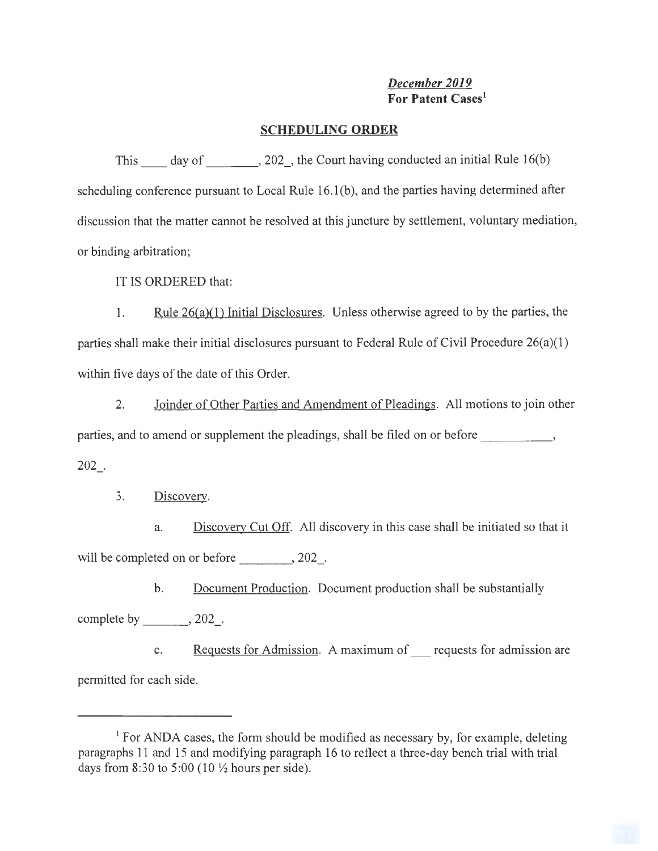## *December 2019*  **For Patent Cases <sup>1</sup>**

## **SCHEDULING ORDER**

This  $\_\_\_\_$  day of  $\_\_\_\_\_$ , 202 $\_\_\_\_\$ , the Court having conducted an initial Rule 16(b) scheduling conference pursuant to Local Rule 16.1(b), and the parties having determined after discussion that the matter cannot be resolved at this juncture by settlement, voluntary mediation, or binding arbitration;

IT IS ORDERED that:

1. Rule  $26(a)(1)$  Initial Disclosures. Unless otherwise agreed to by the parties, the parties shall make their initial disclosures pursuant to Federal Rule of Civil Procedure 26(a)(l) within five days of the date of this Order.

2. Joinder of Other Parties and Amendment of Pleadings. All motions to join other parties, and to amend or supplement the pleadings, shall be filed on or before \_\_\_\_\_\_\_\_\_\_\_\_,  $202$ .

3. Discovery.

a. Discovery Cut Off. All discovery in this case shall be initiated so that it will be completed on or before  $, 202$ .

b. Document Production. Document production shall be substantially complete by  $, 202$ .

c. **Requests for Admission.** A maximum of requests for admission are permitted for each side.

<sup>&</sup>lt;sup>1</sup> For ANDA cases, the form should be modified as necessary by, for example, deleting paragraphs 11 and 15 and modifying paragraph 16 to reflect a three-day bench trial with trial days from 8:30 to 5:00 (10  $\frac{1}{2}$  hours per side).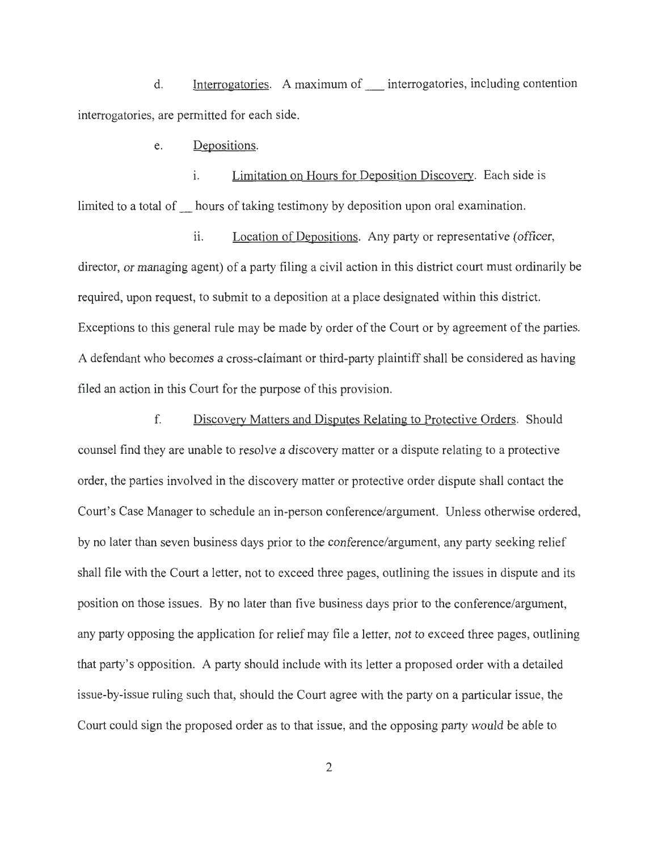d. Interrogatories. A maximum of \_ interrogatories, including contention interrogatories, are permitted for each side.

e. Depositions.

i. Limitation on Hours for Deposition Discovery. Each side is limited to a total of hours of taking testimony by deposition upon oral examination.

ii. Location of Depositions. Any party or representative (officer, director, or managing agent) of a party filing a civil action in this district court must ordinarily be required, upon request, to submit to a deposition at a place designated within this district. Exceptions to this general rule may be made by order of the Court or by agreement of the parties. A defendant who becomes a cross-claimant or third-party plaintiff shall be considered as having filed an action in this Court for the purpose of this provision.

f. Discovery Matters and Disputes Relating to Protective Orders. Should counsel find they are unable to resolve a discovery matter or a dispute relating to a protective order, the parties involved in the discovery matter or protective order dispute shall contact the Court's Case Manager to schedule an in-person conference/argument. Unless otherwise ordered, by no later than seven business days prior to the conference/argument, any party seeking relief shall file with the Court a letter, not to exceed three pages, outlining the issues in dispute and its position on those issues. By no later than five business days prior to the conference/argument, any party opposing the application for relief may file a letter, not to exceed three pages, outlining that party's opposition. A party should include with its letter a proposed order with a detailed issue-by-issue ruling such that, should the Court agree with the party on a particular issue, the Court could sign the proposed order as to that issue, and the opposing party would be able to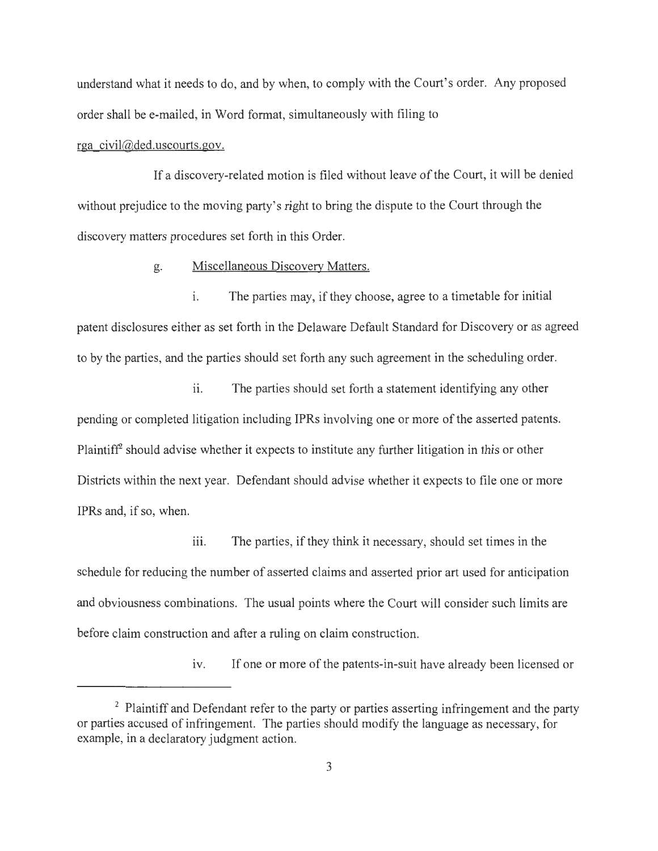understand what it needs to do, and by when, to comply with the Court's order. Any proposed order shall be e-mailed, in Word format, simultaneously with filing to

## rga civil@ded.uscourts.gov.

If a discovery-related motion is filed without leave of the Court, it will be denied without prejudice to the moving party's right to bring the dispute to the Court through the discovery matters procedures set forth in this Order.

g. Miscellaneous Discovery Matters.

1. The parties may, if they choose, agree to a timetable for initial patent disclosures either as set forth in the Delaware Default Standard for Discovery or as agreed to by the parties, and the parties should set forth any such agreement in the scheduling order.

ii. The parties should set forth a statement identifying any other pending or completed litigation including IP Rs involving one or more of the asserted patents. Plaintiff<sup>2</sup> should advise whether it expects to institute any further litigation in this or other Districts within the next year. Defendant should advise whether it expects to file one or more IPRs and, if so, when.

iii. The parties, if they think it necessary, should set times in the schedule for reducing the number of asserted claims and asserted prior art used for anticipation and obviousness combinations. The usual points where the Court will consider such limits are before claim construction and after a ruling on claim construction.

iv. If one or more of the patents-in-suit have already been licensed or

<sup>&</sup>lt;sup>2</sup> Plaintiff and Defendant refer to the party or parties asserting infringement and the party or parties accused of infringement. The parties should modify the language as necessary, for example, in a declaratory judgment action.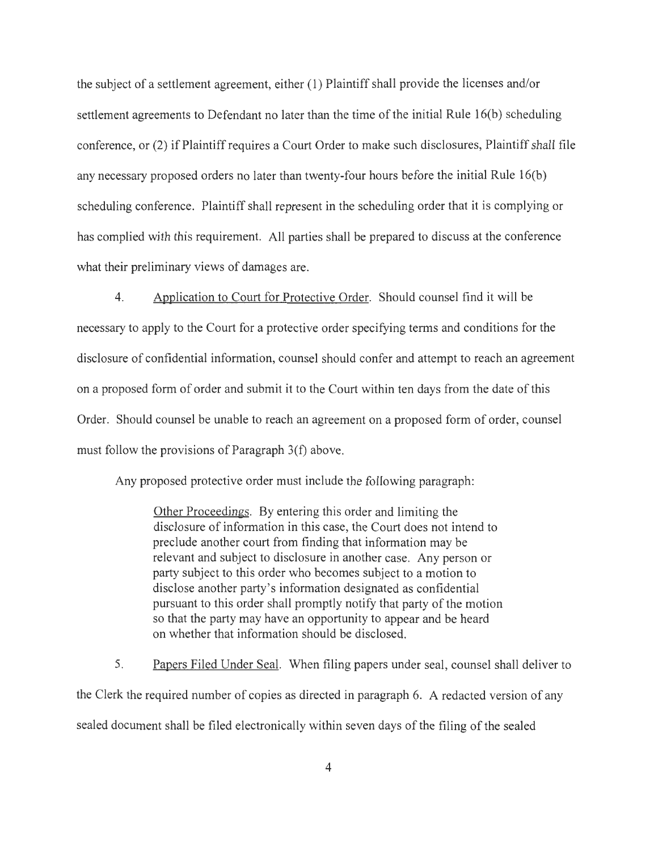the subject of a settlement agreement, either (1) Plaintiff shall provide the licenses and/or settlement agreements to Defendant no later than the time of the initial Rule 16(b) scheduling conference, or (2) if Plaintiff requires a Court Order to make such disclosures, Plaintiff shall file any necessary proposed orders no later than twenty-four hours before the initial Rule 16(b) scheduling conference. Plaintiff shall represent in the scheduling order that it is complying or has complied with this requirement. All parties shall be prepared to discuss at the conference what their preliminary views of damages are.

4. Application to Court for Protective Order. Should counsel find it will be necessary to apply to the Court for a protective order specifying terms and conditions for the disclosure of confidential information, counsel should confer and attempt to reach an agreement on a proposed form of order and submit it to the Court within ten days from the date of this Order. Should counsel be unable to reach an agreement on a proposed form of order, counsel must follow the provisions of Paragraph 3(f) above.

Any proposed protective order must include the following paragraph:

Other Proceedings. By entering this order and limiting the disclosure of information in this case, the Court does not intend to preclude another court from finding that information may be relevant and subject to disclosure in another case. Any person or party subject to this order who becomes subject to a motion to disclose another party's information designated as confidential pursuant to this order shall promptly notify that party of the motion so that the party may have an opportunity to appear and be heard on whether that information should be disclosed.

5. Papers Filed Under Seal. When filing papers under seal, counsel shall deliver to the Clerk the required number of copies as directed in paragraph 6. A redacted version of any sealed document shall be filed electronically within seven days of the filing of the sealed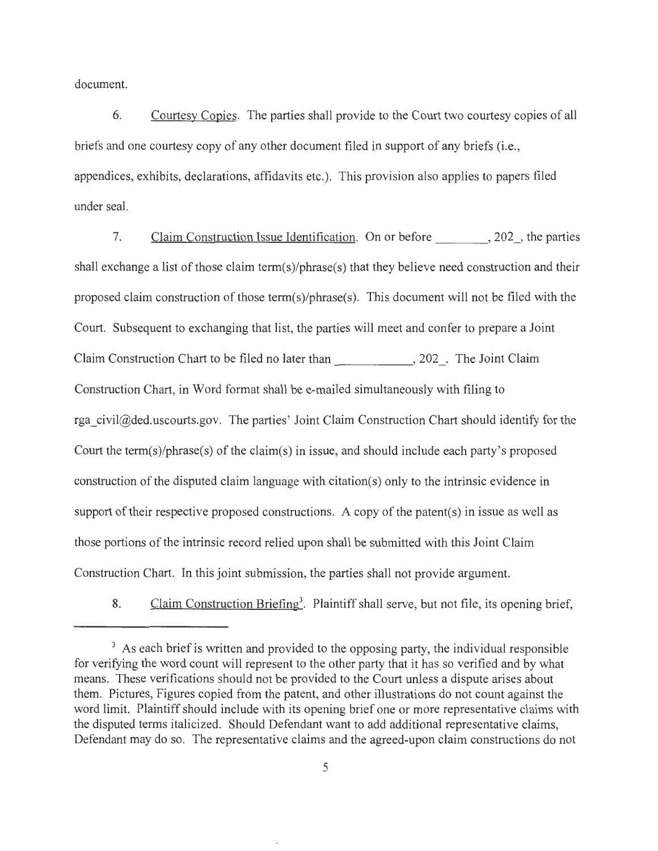document.

6. Courtesy Copies. The parties shall provide to the Court two courtesy copies of all briefs and one courtesy copy of any other document filed in support of any briefs (i.e., appendices, exhibits, declarations, affidavits etc.). This provision also applies to papers filed under seal.

7. Claim Construction Issue Identification. On or before 3.202, the parties shall exchange a list of those claim term(s)/phrase(s) that they believe need construction and their proposed claim construction of those term(s)/phrase(s). This document will not be filed with the Court. Subsequent to exchanging that list, the parties will meet and confer to prepare a Joint Claim Construction Chart to be filed no later than \_\_\_\_\_ \_, 202 . The Joint Claim Construction Chart, in Word format shall be e-mailed simultaneously with filing to rga civil@ded.uscourts.gov. The parties' Joint Claim Construction Chart should identify for the Court the term(s)/phrase(s) of the claim(s) in issue, and should include each party's proposed construction of the disputed claim language with citation(s) only to the intrinsic evidence in support of their respective proposed constructions. A copy of the patent(s) in issue as well as those portions of the intrinsic record relied upon shall be submitted with this Joint Claim Construction Chart. In this joint submission, the parties shall not provide argument.

8. Claim Construction Briefing<sup>3</sup>. Plaintiff shall serve, but not file, its opening brief,

<sup>&</sup>lt;sup>3</sup> As each brief is written and provided to the opposing party, the individual responsible for verifying the word count will represent to the other party that it has so verified and by what means. These verifications should not be provided to the Court unless a dispute arises about them. Pictures, Figures copied from the patent, and other illustrations do not count against the word limit. Plaintiff should include with its opening brief one or more representative claims with the disputed terms italicized. Should Defendant want to add additional representative claims, Defendant may do so. The representative claims and the agreed-upon claim constructions do not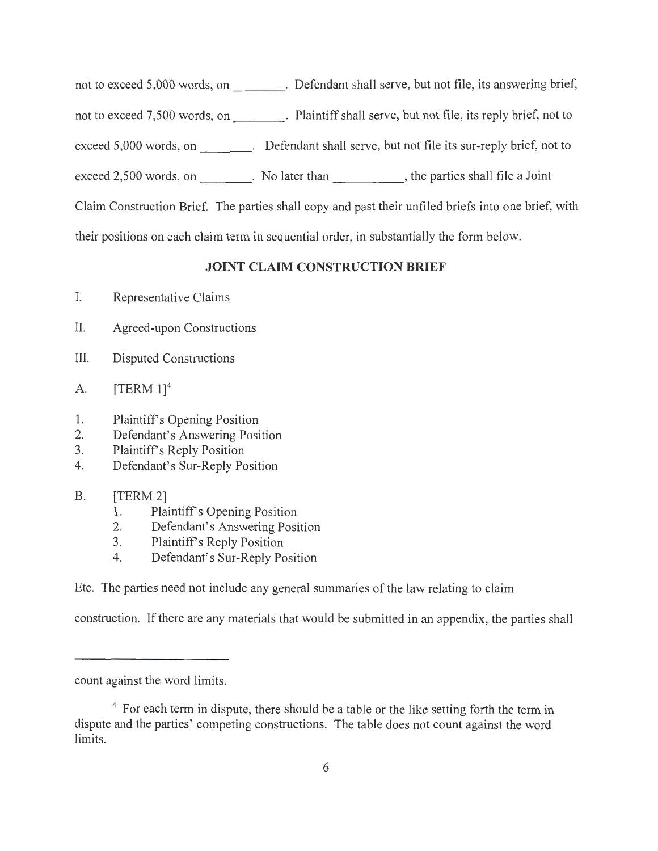not to exceed  $5,000$  words, on  $\overline{\phantom{1.5}}$ Defendant shall serve, but not file, its answering brief,

not to exceed  $7,500$  words, on  $\frac{1}{\sqrt{1-\frac{1}{2}}\sqrt{1-\frac{1}{2}}\sqrt{1-\frac{1}{2}}\sqrt{1-\frac{1}{2}}}}$ Plaintiff shall serve, but not file, its reply brief, not to

exceed 5,000 words, on  $\qquad \qquad$  Defendant shall serve, but not file its sur-reply brief, not to

exceed 2,500 words, on \_\_\_\_\_\_\_\_\_. No later than \_\_\_\_\_\_\_\_\_\_\_\_\_, the parties shall file a Joint

Claim Construction Brief. The parties shall copy and past their unfiled briefs into one brief, with

their positions on each claim term in sequential order, in substantially the form below.

## **JOINT CLAIM CONSTRUCTION BRIEF**

I. Representative Claims

- II. Agreed-upon Constructions
- III. Disputed Constructions
- A.  $[TERM 1]^{4}$
- 1. Plaintiff's Opening Position
- 2. Defendant's Answering Position
- 3. Plaintiff's Reply Position
- 4. Defendant's Sur-Reply Position
- B. [TERM 2]
	- 1. Plaintiff's Opening Position
	- 2. Defendant's Answering Position
	- 3. Plaintiff's Reply Position
	- 4. Defendant's Sur-Reply Position

Etc. The parties need not include any general summaries of the law relating to claim

construction. If there are any materials that would be submitted in an appendix, the parties shall

count against the word limits.

<sup>4</sup> For each term in dispute, there should be a table or the like setting forth the term in dispute and the parties' competing constructions. The table does not count against the word limits.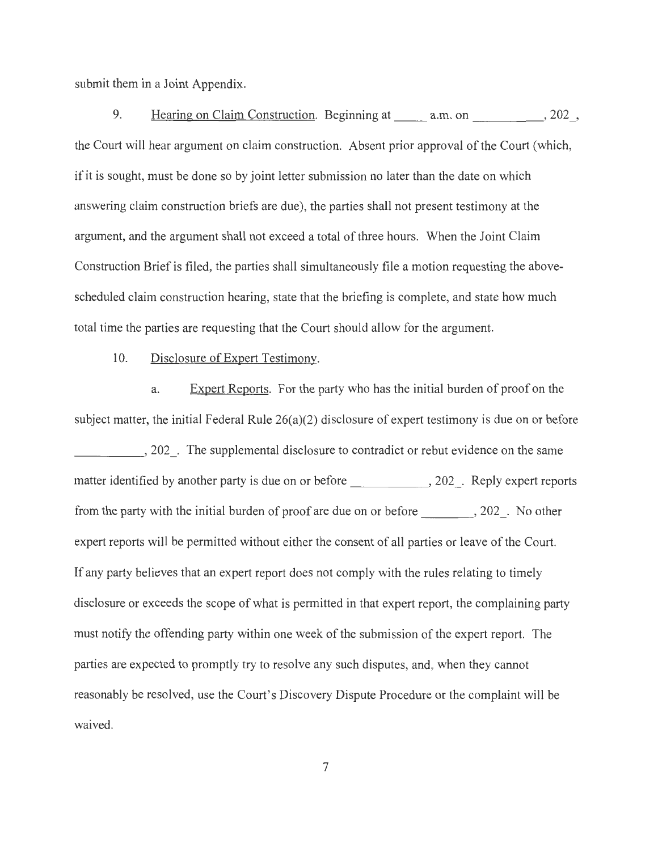submit them in a Joint Appendix.

9. Hearing on Claim Construction. Beginning at a.m. on  $, 202$ , the Court will hear argument on claim construction. Absent prior approval of the Court (which, if it is sought, must be done so by joint letter submission no later than the date on which answering claim construction briefs are due), the parties shall not present testimony at the argument, and the argument shall not exceed a total of three hours. When the Joint Claim Construction Brief is filed, the parties shall simultaneously file a motion requesting the abovescheduled claim construction hearing, state that the briefing is complete, and state how much total time the parties are requesting that the Court should allow for the argument.

10. Disclosure of Expert Testimony.

a. Expert Reports. For the party who has the initial burden of proof on the subject matter, the initial Federal Rule 26(a)(2) disclosure of expert testimony is due on or before 202. The supplemental disclosure to contradict or rebut evidence on the same matter identified by another party is due on or before \_\_\_\_\_\_\_\_\_\_\_\_\_, 202\_. Reply expert reports from the party with the initial burden of proof are due on or before---~ 202 . No other expert reports will be permitted without either the consent of all parties or leave of the Court. If any party believes that an expert report does not comply with the rules relating to timely disclosure or exceeds the scope of what is permitted in that expert report, the complaining party must notify the offending party within one week of the submission of the expert report. The parties are expected to promptly try to resolve any such disputes, and, when they cannot reasonably be resolved, use the Court's Discovery Dispute Procedure or the complaint will be waived.

7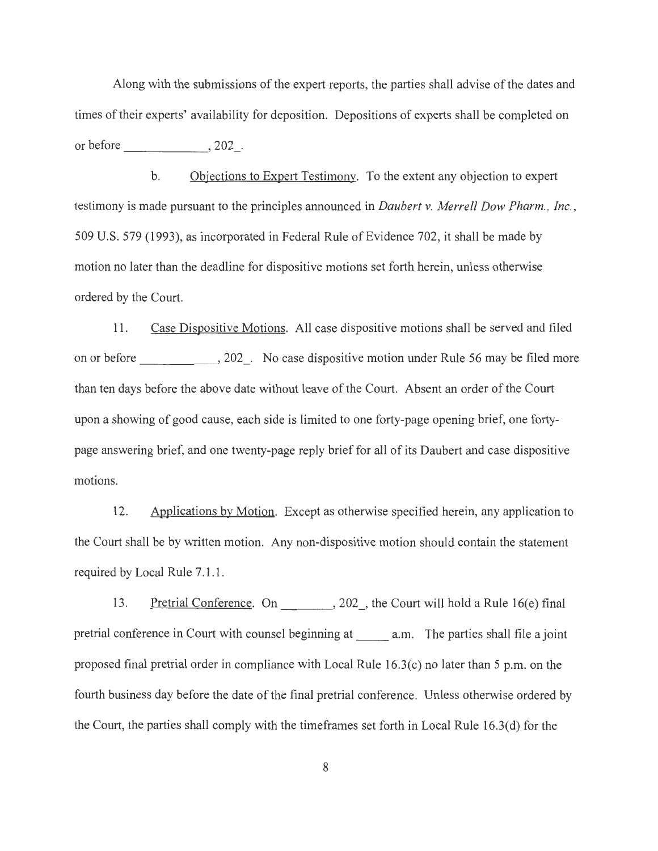Along with the submissions of the expert reports, the parties shall advise of the dates and times of their experts' availability for deposition. Depositions of experts shall be completed on or before  $, 202$ .

b. Objections to Expert Testimony. To the extent any objection to expert testimony is made pursuant to the principles announced in *Daubert v. Merrell Dow Pharm., Inc. ,*  509 U.S. 579 (1993), as incorporated in Federal Rule of Evidence 702, it shall be made by motion no later than the deadline for dispositive motions set forth herein, unless otherwise ordered by the Court.

11. Case Dispositive Motions. All case dispositive motions shall be served and filed on or before \_\_\_\_\_\_\_\_\_\_\_\_, 202\_. No case dispositive motion under Rule 56 may be filed more than ten days before the above date without leave of the Court. Absent an order of the Court upon a showing of good cause, each side is limited to one forty-page opening brief, one fortypage answering brief, and one twenty-page reply brief for all of its Daubert and case dispositive motions.

12. Applications by Motion. Except as otherwise specified herein, any application to the Court shall be by written motion. Any non-dispositive motion should contain the statement required by Local Rule 7.1.1.

13. Pretrial Conference. On , 202, the Court will hold a Rule 16(e) final pretrial conference in Court with counsel beginning at a.m. The parties shall file a joint proposed final pretrial order in compliance with Local Rule 16.3(c) no later than 5 p.m. on the fourth business day before the date of the final pretrial conference. Unless otherwise ordered by the Court, the parties shall comply with the timeframes set forth in Local Rule 16.3(d) for the

8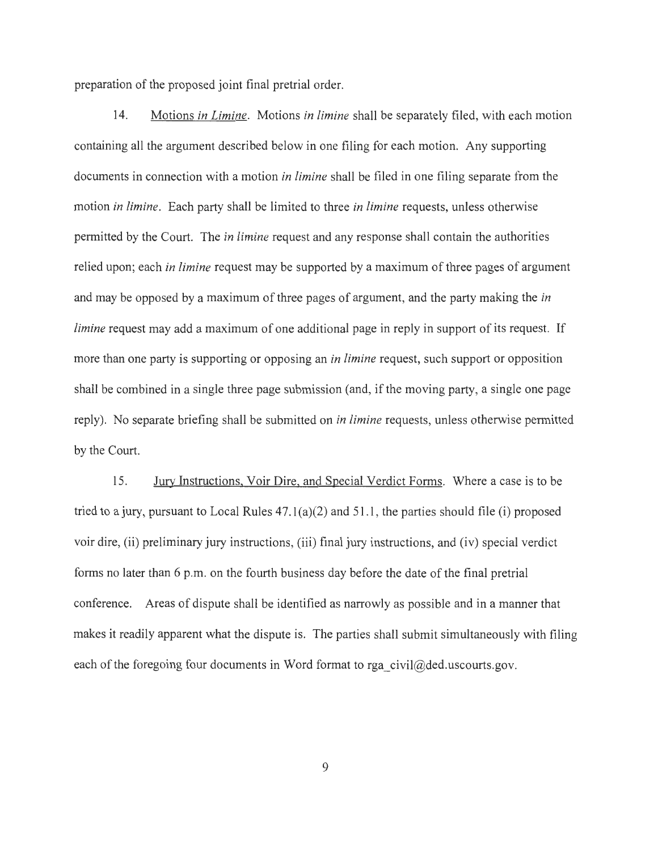preparation of the proposed joint final pretrial order.

14. Motions *in Limine.* Motions *in limine* shall be separately filed, with each motion containing all the argument described below in one filing for each motion. Any supporting documents in connection with a motion *in limine* shall be filed in one filing separate from the motion *in limine .* Each party shall be limited to three *in limine* requests, unless otherwise permitted by the Court. The *in limine* request and any response shall contain the authorities relied upon; each *in limine* request may be supported by a maximum of three pages of argument and may be opposed by a maximum of three pages of argument, and the party making the *in limine* request may add a maximum of one additional page in reply in support of its request. If more than one party is supporting or opposing an *in limine* request, such support or opposition shall be combined in a single three page submission (and, if the moving party, a single one page reply). No separate briefing shall be submitted on *in limine* requests, unless otherwise permitted by the Court.

15. Jury Instructions, Vair Dire, and Special Verdict Forms. Where a case is to be tried to a jury, pursuant to Local Rules 47.l(a)(2) and 51.1 , the parties should file (i) proposed voir dire, (ii) preliminary jury instructions, (iii) final jury instructions, and (iv) special verdict forms no later than 6 p.m. on the fourth business day before the date of the final pretrial conference. Areas of dispute shall be identified as narrowly as possible and in a manner that makes it readily apparent what the dispute is. The parties shall submit simultaneously with filing each of the foregoing four documents in Word format to rga\_civil $@$ ded.uscourts.gov.

9